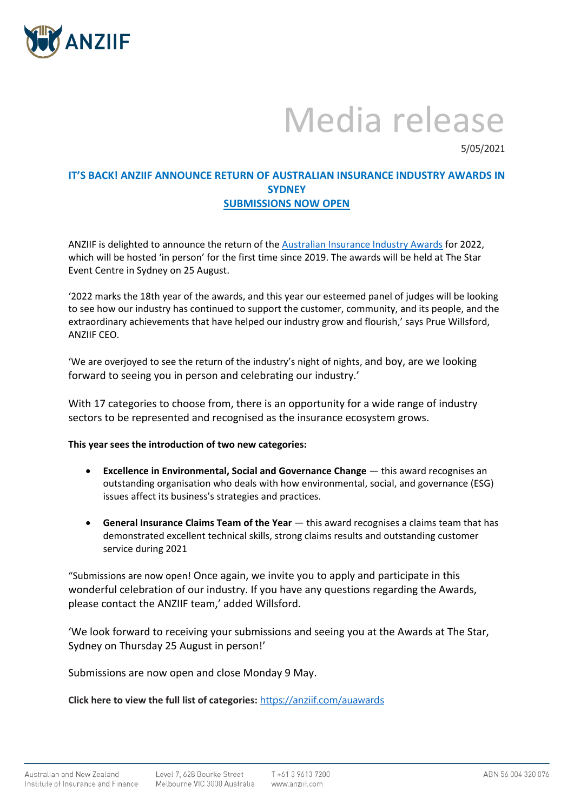

## Media release

5/05/2021

## **IT'S BACK! ANZIIF ANNOUNCE RETURN OF AUSTRALIAN INSURANCE INDUSTRY AWARDS IN SYDNEY SUBMISSIONS NOW OPEN**

ANZIIF is delighted to announce the return of th[e Australian Insurance Industry Awards](https://anziif.com/events/events-calendar/2021/10/26/17th-australian-insurance-industry-awards) for 2022, which will be hosted 'in person' for the first time since 2019. The awards will be held at The Star Event Centre in Sydney on 25 August.

'2022 marks the 18th year of the awards, and this year our esteemed panel of judges will be looking to see how our industry has continued to support the customer, community, and its people, and the extraordinary achievements that have helped our industry grow and flourish,' says Prue Willsford, ANZIIF CEO.

'We are overjoyed to see the return of the industry's night of nights, and boy, are we looking forward to seeing you in person and celebrating our industry.'

With 17 categories to choose from, there is an opportunity for a wide range of industry sectors to be represented and recognised as the insurance ecosystem grows.

## **This year sees the introduction of two new categories:**

- **Excellence in Environmental, Social and Governance Change** this award recognises an outstanding organisation who deals with how environmental, social, and governance (ESG) issues affect its business's strategies and practices.
- **General Insurance Claims Team of the Year** this award recognises a claims team that has demonstrated excellent technical skills, strong claims results and outstanding customer service during 2021

"Submissions are now open! Once again, we invite you to apply and participate in this wonderful celebration of our industry. If you have any questions regarding the Awards, please contact the ANZIIF team,' added Willsford.

'We look forward to receiving your submissions and seeing you at the Awards at The Star, Sydney on Thursday 25 August in person!'

Submissions are now open and close Monday 9 May.

**Click here to view the full list of categories:** <https://anziif.com/auawards>